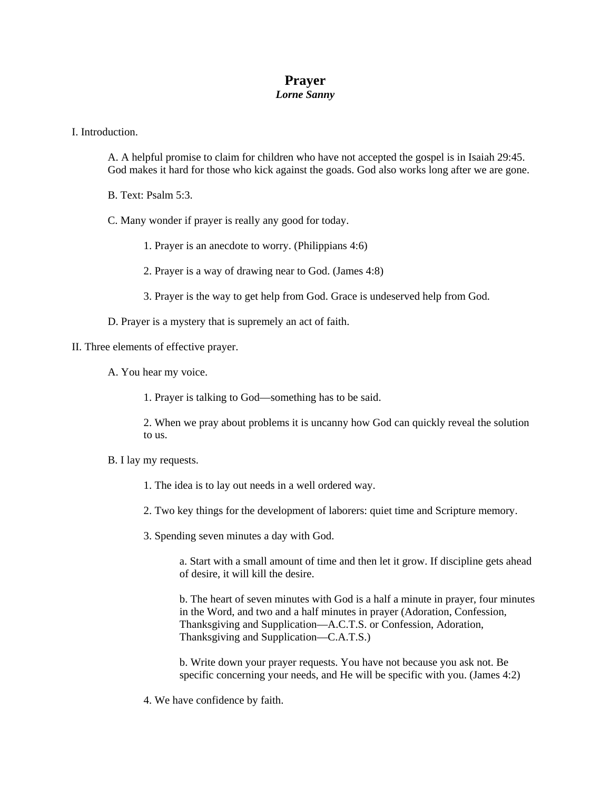## **Prayer**  *Lorne Sanny*

I. Introduction.

A. A helpful promise to claim for children who have not accepted the gospel is in Isaiah 29:45. God makes it hard for those who kick against the goads. God also works long after we are gone.

B. Text: Psalm 5:3.

C. Many wonder if prayer is really any good for today.

1. Prayer is an anecdote to worry. (Philippians 4:6)

2. Prayer is a way of drawing near to God. (James 4:8)

3. Prayer is the way to get help from God. Grace is undeserved help from God.

D. Prayer is a mystery that is supremely an act of faith.

II. Three elements of effective prayer.

A. You hear my voice.

1. Prayer is talking to God—something has to be said.

2. When we pray about problems it is uncanny how God can quickly reveal the solution to us.

B. I lay my requests.

1. The idea is to lay out needs in a well ordered way.

2. Two key things for the development of laborers: quiet time and Scripture memory.

3. Spending seven minutes a day with God.

a. Start with a small amount of time and then let it grow. If discipline gets ahead of desire, it will kill the desire.

b. The heart of seven minutes with God is a half a minute in prayer, four minutes in the Word, and two and a half minutes in prayer (Adoration, Confession, Thanksgiving and Supplication—A.C.T.S. or Confession, Adoration, Thanksgiving and Supplication—C.A.T.S.)

b. Write down your prayer requests. You have not because you ask not. Be specific concerning your needs, and He will be specific with you. (James 4:2)

4. We have confidence by faith.